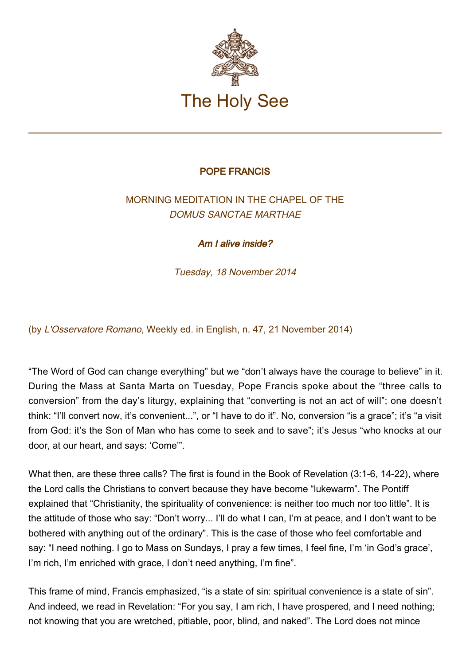

## POPE FRANCIS

## MORNING MEDITATION IN THE CHAPEL OF THE DOMUS SANCTAE MARTHAE

Am I alive inside?

Tuesday, 18 November 2014

(by L'Osservatore Romano, Weekly ed. in English, n. 47, 21 November 2014)

"The Word of God can change everything" but we "don't always have the courage to believe" in it. During the Mass at Santa Marta on Tuesday, Pope Francis spoke about the "three calls to conversion" from the day's liturgy, explaining that "converting is not an act of will"; one doesn't think: "I'll convert now, it's convenient...", or "I have to do it". No, conversion "is a grace"; it's "a visit from God: it's the Son of Man who has come to seek and to save"; it's Jesus "who knocks at our door, at our heart, and says: 'Come'".

What then, are these three calls? The first is found in the Book of Revelation (3:1-6, 14-22), where the Lord calls the Christians to convert because they have become "lukewarm". The Pontiff explained that "Christianity, the spirituality of convenience: is neither too much nor too little". It is the attitude of those who say: "Don't worry... I'll do what I can, I'm at peace, and I don't want to be bothered with anything out of the ordinary". This is the case of those who feel comfortable and say: "I need nothing. I go to Mass on Sundays, I pray a few times, I feel fine, I'm 'in God's grace', I'm rich, I'm enriched with grace, I don't need anything, I'm fine".

This frame of mind, Francis emphasized, "is a state of sin: spiritual convenience is a state of sin". And indeed, we read in Revelation: "For you say, I am rich, I have prospered, and I need nothing; not knowing that you are wretched, pitiable, poor, blind, and naked". The Lord does not mince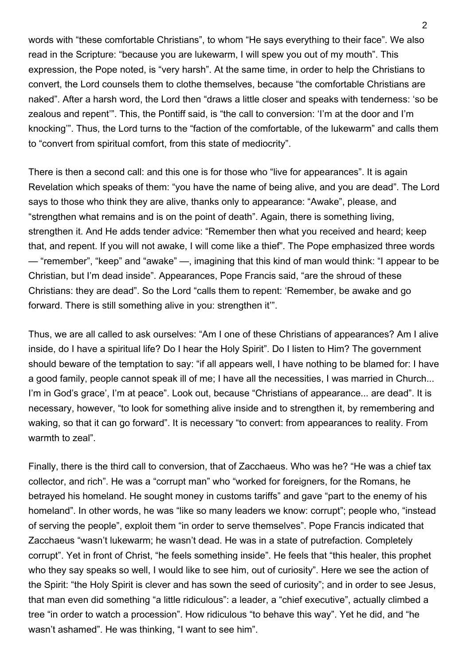words with "these comfortable Christians", to whom "He says everything to their face". We also read in the Scripture: "because you are lukewarm, I will spew you out of my mouth". This expression, the Pope noted, is "very harsh". At the same time, in order to help the Christians to convert, the Lord counsels them to clothe themselves, because "the comfortable Christians are naked". After a harsh word, the Lord then "draws a little closer and speaks with tenderness: 'so be zealous and repent'". This, the Pontiff said, is "the call to conversion: 'I'm at the door and I'm knocking'". Thus, the Lord turns to the "faction of the comfortable, of the lukewarm" and calls them to "convert from spiritual comfort, from this state of mediocrity".

There is then a second call: and this one is for those who "live for appearances". It is again Revelation which speaks of them: "you have the name of being alive, and you are dead". The Lord says to those who think they are alive, thanks only to appearance: "Awake", please, and "strengthen what remains and is on the point of death". Again, there is something living, strengthen it. And He adds tender advice: "Remember then what you received and heard; keep that, and repent. If you will not awake, I will come like a thief". The Pope emphasized three words — "remember", "keep" and "awake" —, imagining that this kind of man would think: "I appear to be Christian, but I'm dead inside". Appearances, Pope Francis said, "are the shroud of these Christians: they are dead". So the Lord "calls them to repent: 'Remember, be awake and go forward. There is still something alive in you: strengthen it'".

Thus, we are all called to ask ourselves: "Am I one of these Christians of appearances? Am I alive inside, do I have a spiritual life? Do I hear the Holy Spirit". Do I listen to Him? The government should beware of the temptation to say: "if all appears well, I have nothing to be blamed for: I have a good family, people cannot speak ill of me; I have all the necessities, I was married in Church... I'm in God's grace', I'm at peace". Look out, because "Christians of appearance... are dead". It is necessary, however, "to look for something alive inside and to strengthen it, by remembering and waking, so that it can go forward". It is necessary "to convert: from appearances to reality. From warmth to zeal".

Finally, there is the third call to conversion, that of Zacchaeus. Who was he? "He was a chief tax collector, and rich". He was a "corrupt man" who "worked for foreigners, for the Romans, he betrayed his homeland. He sought money in customs tariffs" and gave "part to the enemy of his homeland". In other words, he was "like so many leaders we know: corrupt"; people who, "instead of serving the people", exploit them "in order to serve themselves". Pope Francis indicated that Zacchaeus "wasn't lukewarm; he wasn't dead. He was in a state of putrefaction. Completely corrupt". Yet in front of Christ, "he feels something inside". He feels that "this healer, this prophet who they say speaks so well, I would like to see him, out of curiosity". Here we see the action of the Spirit: "the Holy Spirit is clever and has sown the seed of curiosity"; and in order to see Jesus, that man even did something "a little ridiculous": a leader, a "chief executive", actually climbed a tree "in order to watch a procession". How ridiculous "to behave this way". Yet he did, and "he wasn't ashamed". He was thinking, "I want to see him".